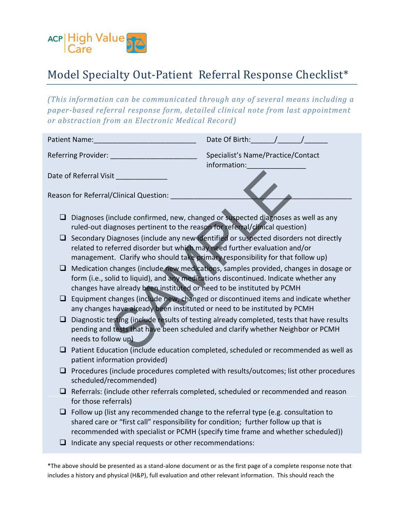

## Model Specialty Out-Patient Referral Response Checklist\*

*(This information can be communicated through any of several means including a paper-based referral response form, detailed clinical note from last appointment or abstraction from an Electronic Medical Record)* 

| Patient Name:                                                                                                                                                                      | Date Of Birth: /                                                                                                                                                             |
|------------------------------------------------------------------------------------------------------------------------------------------------------------------------------------|------------------------------------------------------------------------------------------------------------------------------------------------------------------------------|
| Referring Provider:                                                                                                                                                                | Specialist's Name/Practice/Contact<br>information:                                                                                                                           |
| Date of Referral Visit                                                                                                                                                             |                                                                                                                                                                              |
| Reason for Referral/Clinical Question:                                                                                                                                             |                                                                                                                                                                              |
| ப<br>ruled-out diagnoses pertinent to the reason for referral/clinical question)                                                                                                   | Diagnoses (include confirmed, new, changed or suspected diagnoses as well as any                                                                                             |
| related to referred disorder but which may need further evaluation and/or<br>management. Clarify who should take primary responsibility for that follow up)                        | Secondary Diagnoses (include any new identified or suspected disorders not directly                                                                                          |
| ⊔<br>changes have already been instituted or need to be instituted by PCMH                                                                                                         | Medication changes (include new medications, samples provided, changes in dosage or<br>form (i.e., solid to liquid), and any medications discontinued. Indicate whether any  |
| ⊔<br>any changes have already been instituted or need to be instituted by PCMH                                                                                                     | Equipment changes (include new, changed or discontinued items and indicate whether                                                                                           |
| ❏<br>needs to follow up)                                                                                                                                                           | Diagnostic testing (include results of testing already completed, tests that have results<br>pending and tests that have been scheduled and clarify whether Neighbor or PCMH |
| ⊔<br>patient information provided)                                                                                                                                                 | Patient Education (include education completed, scheduled or recommended as well as                                                                                          |
| ⊔<br>scheduled/recommended)                                                                                                                                                        | Procedures (include procedures completed with results/outcomes; list other procedures                                                                                        |
| ⊔<br>for those referrals)                                                                                                                                                          | Referrals: (include other referrals completed, scheduled or recommended and reason                                                                                           |
| Follow up (list any recommended change to the referral type (e.g. consultation to<br>$\Box$<br>shared care or "first call" responsibility for condition; further follow up that is | recommended with specialist or PCMH (specify time frame and whether scheduled))                                                                                              |
| Indicate any special requests or other recommendations:                                                                                                                            |                                                                                                                                                                              |

\*The above should be presented as a stand-alone document or as the first page of a complete response note that includes a history and physical (H&P), full evaluation and other relevant information. This should reach the